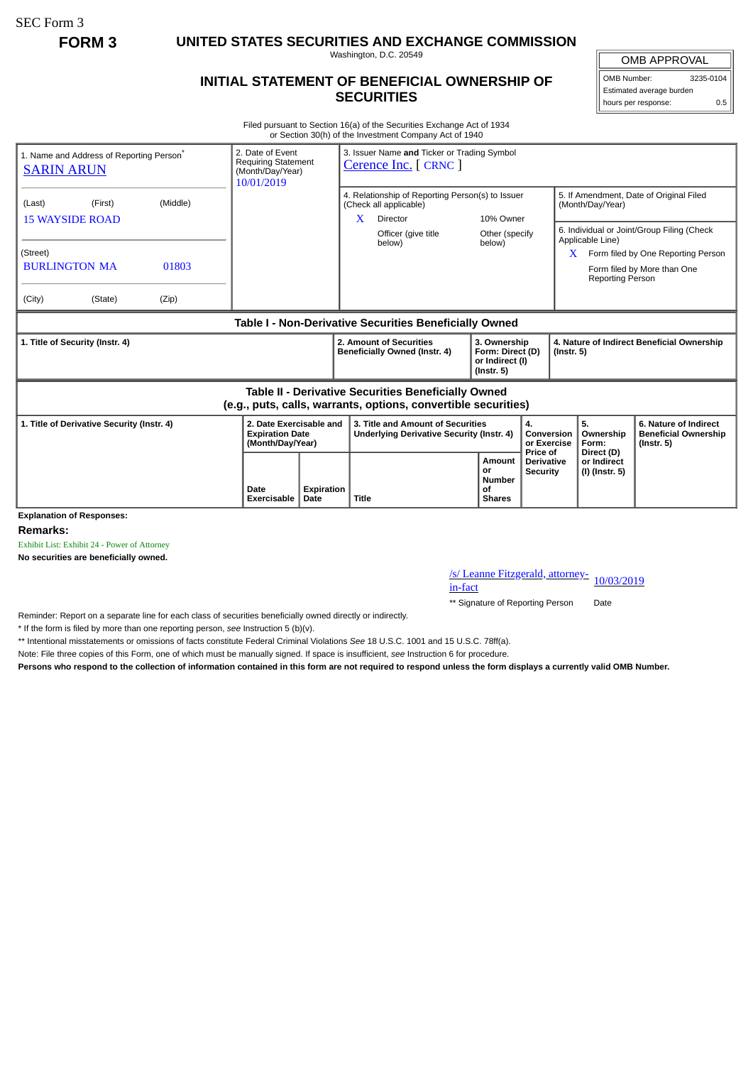SEC Form 3

**FORM 3 UNITED STATES SECURITIES AND EXCHANGE COMMISSION**

Washington, D.C. 20549

## **INITIAL STATEMENT OF BENEFICIAL OWNERSHIP OF SECURITIES**

OMB APPROVAL OMB Number: 3235-0104

Estimated average burden hours per response: 0.5

Filed pursuant to Section 16(a) of the Securities Exchange Act of 1934 or Section 30(h) of the Investment Company Act of 1940

| 1. Name and Address of Reporting Person <sup>®</sup><br><b>SARIN ARUN</b>                                             | 2. Date of Event<br><b>Requiring Statement</b><br>(Month/Day/Year)<br>10/01/2019 |            | 3. Issuer Name and Ticker or Trading Symbol<br>Cerence Inc. [ CRNC ]                        |                                                                         |                                                  |                                                                |                                                                                                                 |  |
|-----------------------------------------------------------------------------------------------------------------------|----------------------------------------------------------------------------------|------------|---------------------------------------------------------------------------------------------|-------------------------------------------------------------------------|--------------------------------------------------|----------------------------------------------------------------|-----------------------------------------------------------------------------------------------------------------|--|
| (Middle)<br>(Last)<br>(First)<br><b>15 WAYSIDE ROAD</b>                                                               |                                                                                  |            | 4. Relationship of Reporting Person(s) to Issuer<br>(Check all applicable)<br>Director<br>X | 10% Owner                                                               |                                                  | 5. If Amendment, Date of Original Filed<br>(Month/Day/Year)    |                                                                                                                 |  |
| (Street)<br><b>BURLINGTON MA</b><br>01803<br>(City)<br>(State)<br>(Zip)                                               |                                                                                  |            | Officer (give title<br>below)                                                               | Other (specify<br>below)                                                |                                                  | Applicable Line)<br>X<br>Reporting Person                      | 6. Individual or Joint/Group Filing (Check<br>Form filed by One Reporting Person<br>Form filed by More than One |  |
|                                                                                                                       |                                                                                  |            | Table I - Non-Derivative Securities Beneficially Owned                                      |                                                                         |                                                  |                                                                |                                                                                                                 |  |
| 1. Title of Security (Instr. 4)                                                                                       |                                                                                  |            | 2. Amount of Securities<br>Beneficially Owned (Instr. 4)                                    | 3. Ownership<br>Form: Direct (D)<br>or Indirect (I)<br>$($ lnstr. 5 $)$ |                                                  | 4. Nature of Indirect Beneficial Ownership<br>$($ Instr. 5 $)$ |                                                                                                                 |  |
| Table II - Derivative Securities Beneficially Owned<br>(e.g., puts, calls, warrants, options, convertible securities) |                                                                                  |            |                                                                                             |                                                                         |                                                  |                                                                |                                                                                                                 |  |
| 1. Title of Derivative Security (Instr. 4)                                                                            | 2. Date Exercisable and<br><b>Expiration Date</b><br>(Month/Day/Year)            |            | 3. Title and Amount of Securities<br>Underlying Derivative Security (Instr. 4)              | 4.<br>Conversion<br>or Exercise                                         |                                                  | 5.<br>Ownership<br>Form:                                       | 6. Nature of Indirect<br><b>Beneficial Ownership</b><br>$($ lnstr. 5 $)$                                        |  |
| <b>Explanation of Responses:</b>                                                                                      | Date<br>Exercisable<br>Date                                                      | Expiration | Amount<br>or<br><b>Number</b><br>Οf<br><b>Title</b><br><b>Shares</b>                        |                                                                         | Price of<br><b>Derivative</b><br><b>Security</b> | Direct (D)<br>or Indirect<br>(I) (Instr. 5)                    |                                                                                                                 |  |

**Remarks:**

Exhibit List: Exhibit 24 - Power of Attorney

**No securities are beneficially owned.**

/s/ Leanne Fitzgerald, attorney-<br>in-fact

\*\* Signature of Reporting Person Date

Reminder: Report on a separate line for each class of securities beneficially owned directly or indirectly.

\* If the form is filed by more than one reporting person, *see* Instruction 5 (b)(v).

\*\* Intentional misstatements or omissions of facts constitute Federal Criminal Violations *See* 18 U.S.C. 1001 and 15 U.S.C. 78ff(a).

Note: File three copies of this Form, one of which must be manually signed. If space is insufficient, *see* Instruction 6 for procedure.

**Persons who respond to the collection of information contained in this form are not required to respond unless the form displays a currently valid OMB Number.**